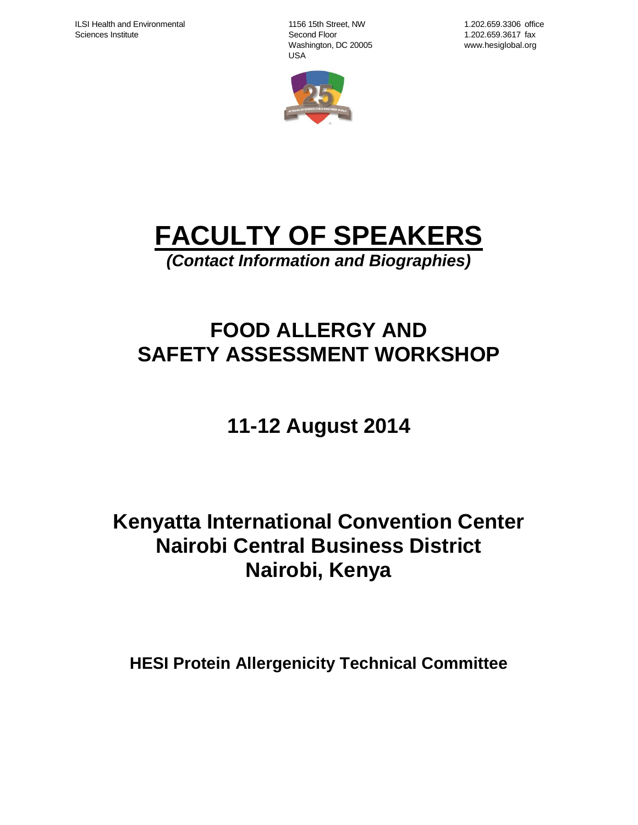1156 15th Street, NW Second Floor Washington, DC 20005 USA



1.202.659.3306 office 1.202.659.3617 fax www.hesiglobal.org

# **FACULTY OF SPEAKERS**

*(Contact Information and Biographies)*

# **FOOD ALLERGY AND SAFETY ASSESSMENT WORKSHOP**

# **11-12 August 2014**

# **Kenyatta International Convention Center Nairobi Central Business District Nairobi, Kenya**

**HESI Protein Allergenicity Technical Committee**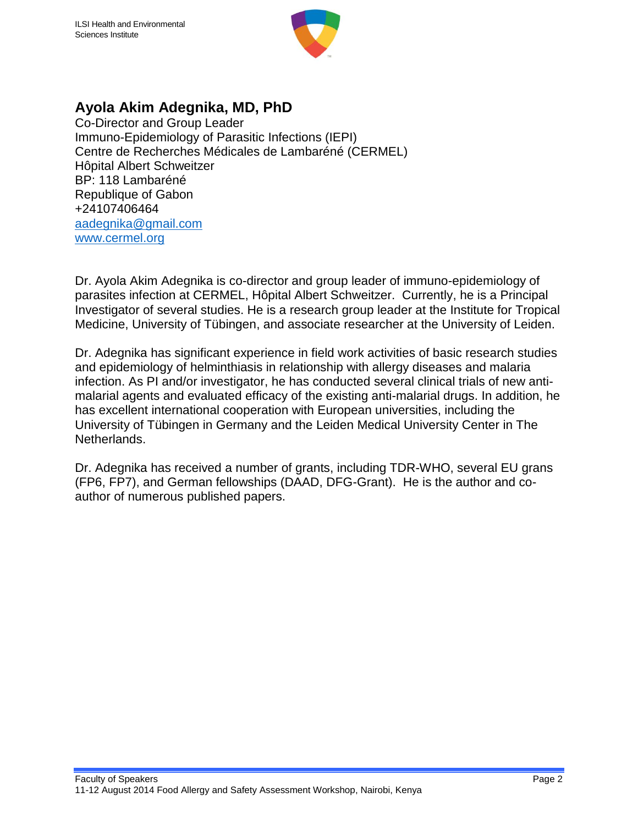

### **Ayola Akim Adegnika, MD, PhD**

Co-Director and Group Leader Immuno-Epidemiology of Parasitic Infections (IEPI) Centre de Recherches Médicales de Lambaréné (CERMEL) Hôpital Albert Schweitzer BP: 118 Lambaréné Republique of Gabon +24107406464 [aadegnika@gmail.com](mailto:aadegnika@gmail.com) [www.cermel.org](http://www.cermel.org/)

Dr. Ayola Akim Adegnika is co-director and group leader of immuno-epidemiology of parasites infection at CERMEL, Hôpital Albert Schweitzer. Currently, he is a Principal Investigator of several studies. He is a research group leader at the Institute for Tropical Medicine, University of Tübingen, and associate researcher at the University of Leiden.

Dr. Adegnika has significant experience in field work activities of basic research studies and epidemiology of helminthiasis in relationship with allergy diseases and malaria infection. As PI and/or investigator, he has conducted several clinical trials of new antimalarial agents and evaluated efficacy of the existing anti-malarial drugs. In addition, he has excellent international cooperation with European universities, including the University of Tübingen in Germany and the Leiden Medical University Center in The Netherlands.

Dr. Adegnika has received a number of grants, including TDR-WHO, several EU grans (FP6, FP7), and German fellowships (DAAD, DFG-Grant). He is the author and coauthor of numerous published papers.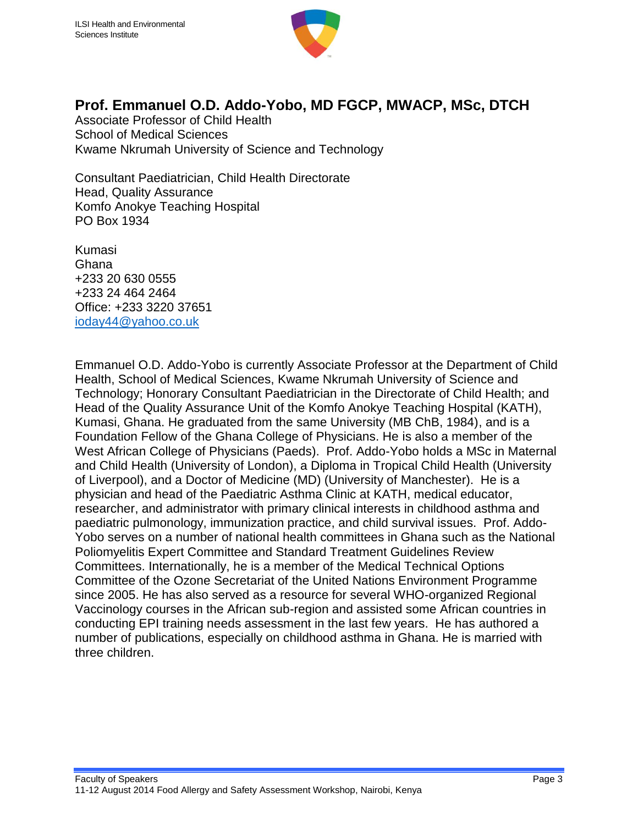

#### **Prof. Emmanuel O.D. Addo-Yobo, MD FGCP, MWACP, MSc, DTCH**

Associate Professor of Child Health School of Medical Sciences Kwame Nkrumah University of Science and Technology

Consultant Paediatrician, Child Health Directorate Head, Quality Assurance Komfo Anokye Teaching Hospital PO Box 1934

Kumasi Ghana +233 20 630 0555 +233 24 464 2464 Office: +233 3220 37651 [ioday44@yahoo.co.uk](mailto:ioday44@yahoo.co.uk)

Emmanuel O.D. Addo-Yobo is currently Associate Professor at the Department of Child Health, School of Medical Sciences, Kwame Nkrumah University of Science and Technology; Honorary Consultant Paediatrician in the Directorate of Child Health; and Head of the Quality Assurance Unit of the Komfo Anokye Teaching Hospital (KATH), Kumasi, Ghana. He graduated from the same University (MB ChB, 1984), and is a Foundation Fellow of the Ghana College of Physicians. He is also a member of the West African College of Physicians (Paeds). Prof. Addo-Yobo holds a MSc in Maternal and Child Health (University of London), a Diploma in Tropical Child Health (University of Liverpool), and a Doctor of Medicine (MD) (University of Manchester). He is a physician and head of the Paediatric Asthma Clinic at KATH, medical educator, researcher, and administrator with primary clinical interests in childhood asthma and paediatric pulmonology, immunization practice, and child survival issues. Prof. Addo-Yobo serves on a number of national health committees in Ghana such as the National Poliomyelitis Expert Committee and Standard Treatment Guidelines Review Committees. Internationally, he is a member of the Medical Technical Options Committee of the Ozone Secretariat of the United Nations Environment Programme since 2005. He has also served as a resource for several WHO-organized Regional Vaccinology courses in the African sub-region and assisted some African countries in conducting EPI training needs assessment in the last few years. He has authored a number of publications, especially on childhood asthma in Ghana. He is married with three children.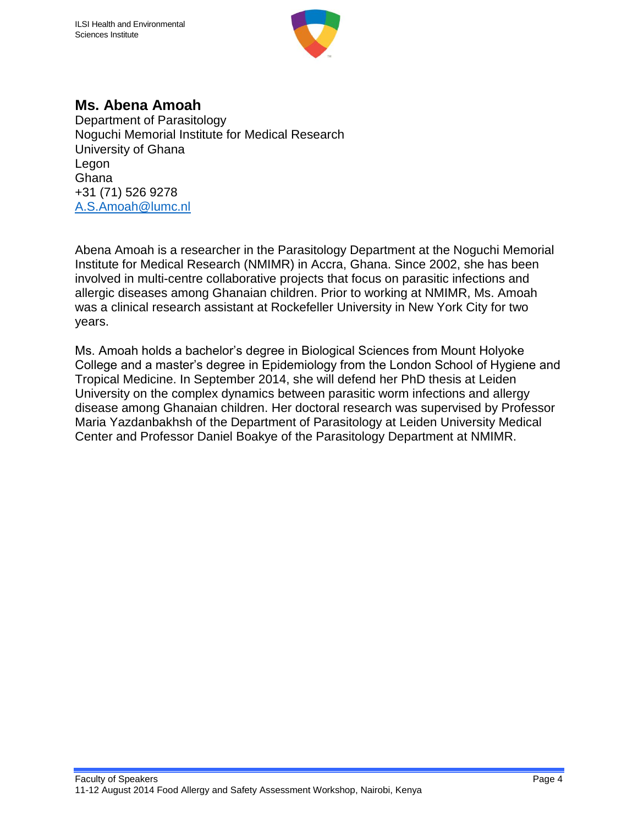

### **Ms. Abena Amoah**

Department of Parasitology Noguchi Memorial Institute for Medical Research University of Ghana Legon **Ghana** +31 (71) 526 9278 [A.S.Amoah@lumc.nl](mailto:A.S.Amoah@lumc.nl) 

Abena Amoah is a researcher in the Parasitology Department at the Noguchi Memorial Institute for Medical Research (NMIMR) in Accra, Ghana. Since 2002, she has been involved in multi-centre collaborative projects that focus on parasitic infections and allergic diseases among Ghanaian children. Prior to working at NMIMR, Ms. Amoah was a clinical research assistant at Rockefeller University in New York City for two years.

Ms. Amoah holds a bachelor's degree in Biological Sciences from Mount Holyoke College and a master's degree in Epidemiology from the London School of Hygiene and Tropical Medicine. In September 2014, she will defend her PhD thesis at Leiden University on the complex dynamics between parasitic worm infections and allergy disease among Ghanaian children. Her doctoral research was supervised by Professor Maria Yazdanbakhsh of the Department of Parasitology at Leiden University Medical Center and Professor Daniel Boakye of the Parasitology Department at NMIMR.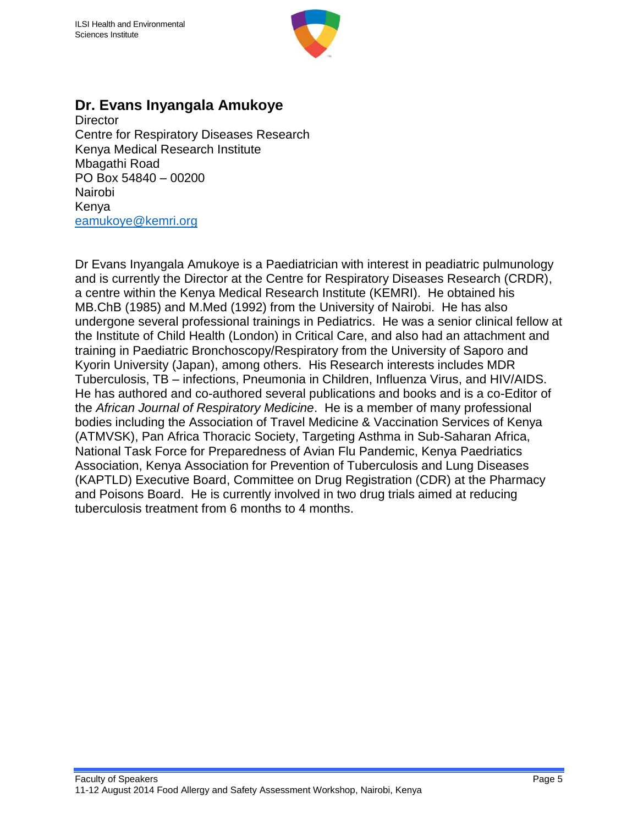

#### **Dr. Evans Inyangala Amukoye**

**Director** Centre for Respiratory Diseases Research Kenya Medical Research Institute Mbagathi Road PO Box 54840 – 00200 Nairobi Kenya [eamukoye@kemri.org](mailto:eamukoye@kemri.org)

Dr Evans Inyangala Amukoye is a Paediatrician with interest in peadiatric pulmunology and is currently the Director at the Centre for Respiratory Diseases Research (CRDR), a centre within the Kenya Medical Research Institute (KEMRI). He obtained his MB.ChB (1985) and M.Med (1992) from the University of Nairobi. He has also undergone several professional trainings in Pediatrics. He was a senior clinical fellow at the Institute of Child Health (London) in Critical Care, and also had an attachment and training in Paediatric Bronchoscopy/Respiratory from the University of Saporo and Kyorin University (Japan), among others. His Research interests includes MDR Tuberculosis, TB – infections, Pneumonia in Children, Influenza Virus, and HIV/AIDS. He has authored and co-authored several publications and books and is a co-Editor of the *African Journal of Respiratory Medicine*. He is a member of many professional bodies including the Association of Travel Medicine & Vaccination Services of Kenya (ATMVSK), Pan Africa Thoracic Society, Targeting Asthma in Sub-Saharan Africa, National Task Force for Preparedness of Avian Flu Pandemic, Kenya Paedriatics Association, Kenya Association for Prevention of Tuberculosis and Lung Diseases (KAPTLD) Executive Board, Committee on Drug Registration (CDR) at the Pharmacy and Poisons Board. He is currently involved in two drug trials aimed at reducing tuberculosis treatment from 6 months to 4 months.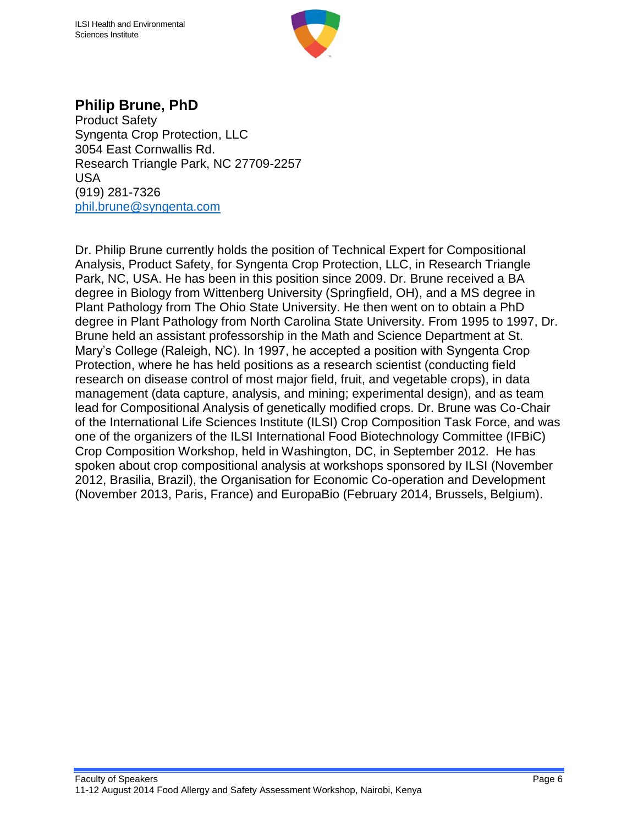

### **Philip Brune, PhD**

Product Safety Syngenta Crop Protection, LLC 3054 East Cornwallis Rd. Research Triangle Park, NC 27709-2257 USA (919) 281-7326 [phil.brune@syngenta.com](mailto:phil.brune@syngenta.com)

Dr. Philip Brune currently holds the position of Technical Expert for Compositional Analysis, Product Safety, for Syngenta Crop Protection, LLC, in Research Triangle Park, NC, USA. He has been in this position since 2009. Dr. Brune received a BA degree in Biology from Wittenberg University (Springfield, OH), and a MS degree in Plant Pathology from The Ohio State University. He then went on to obtain a PhD degree in Plant Pathology from North Carolina State University. From 1995 to 1997, Dr. Brune held an assistant professorship in the Math and Science Department at St. Mary's College (Raleigh, NC). In 1997, he accepted a position with Syngenta Crop Protection, where he has held positions as a research scientist (conducting field research on disease control of most major field, fruit, and vegetable crops), in data management (data capture, analysis, and mining; experimental design), and as team lead for Compositional Analysis of genetically modified crops. Dr. Brune was Co-Chair of the International Life Sciences Institute (ILSI) Crop Composition Task Force, and was one of the organizers of the ILSI International Food Biotechnology Committee (IFBiC) Crop Composition Workshop, held in Washington, DC, in September 2012. He has spoken about crop compositional analysis at workshops sponsored by ILSI (November 2012, Brasilia, Brazil), the Organisation for Economic Co-operation and Development (November 2013, Paris, France) and EuropaBio (February 2014, Brussels, Belgium).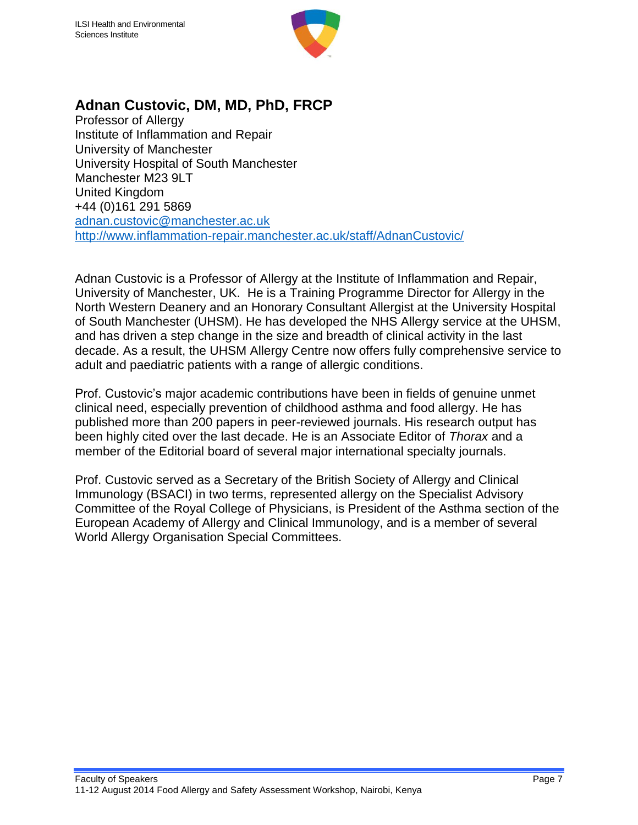

# **Adnan Custovic, DM, MD, PhD, FRCP**

Professor of Allergy Institute of Inflammation and Repair University of Manchester University Hospital of South Manchester Manchester M23 9LT United Kingdom +44 (0)161 291 5869 [adnan.custovic@manchester.ac.uk](mailto:adnan.custovic@manchester.ac.uk) <http://www.inflammation-repair.manchester.ac.uk/staff/AdnanCustovic/>

Adnan Custovic is a Professor of Allergy at the Institute of Inflammation and Repair, University of Manchester, UK. He is a Training Programme Director for Allergy in the North Western Deanery and an Honorary Consultant Allergist at the University Hospital of South Manchester (UHSM). He has developed the NHS Allergy service at the UHSM, and has driven a step change in the size and breadth of clinical activity in the last decade. As a result, the UHSM Allergy Centre now offers fully comprehensive service to adult and paediatric patients with a range of allergic conditions.

Prof. Custovic's major academic contributions have been in fields of genuine unmet clinical need, especially prevention of childhood asthma and food allergy. He has published more than 200 papers in peer-reviewed journals. His research output has been highly cited over the last decade. He is an Associate Editor of *Thorax* and a member of the Editorial board of several major international specialty journals.

Prof. Custovic served as a Secretary of the British Society of Allergy and Clinical Immunology (BSACI) in two terms, represented allergy on the Specialist Advisory Committee of the Royal College of Physicians, is President of the Asthma section of the European Academy of Allergy and Clinical Immunology, and is a member of several World Allergy Organisation Special Committees.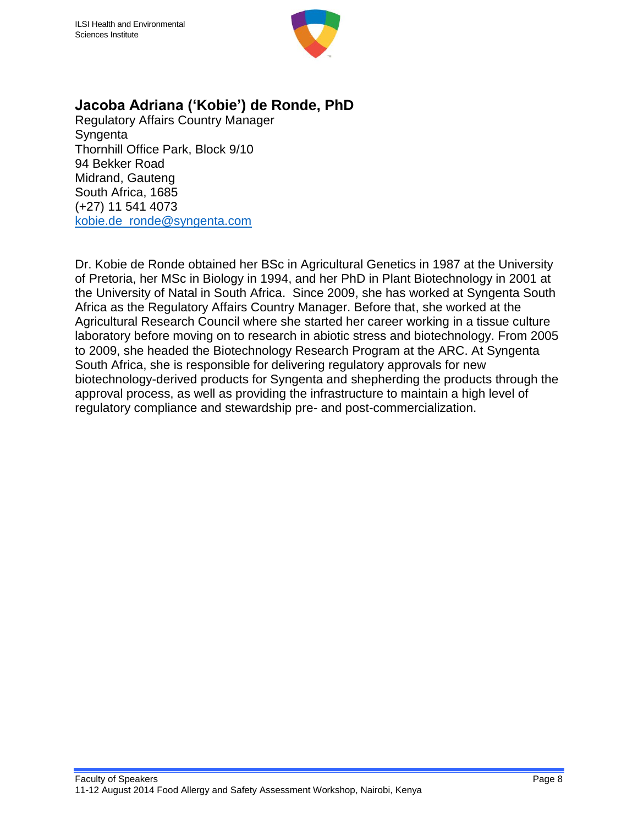

#### **Jacoba Adriana ('Kobie') de Ronde, PhD**

Regulatory Affairs Country Manager **Syngenta** Thornhill Office Park, Block 9/10 94 Bekker Road Midrand, Gauteng South Africa, 1685 (+27) 11 541 4073 [kobie.de\\_ronde@syngenta.com](mailto:kobie.de_ronde@syngenta.com)

Dr. Kobie de Ronde obtained her BSc in Agricultural Genetics in 1987 at the University of Pretoria, her MSc in Biology in 1994, and her PhD in Plant Biotechnology in 2001 at the University of Natal in South Africa. Since 2009, she has worked at Syngenta South Africa as the Regulatory Affairs Country Manager. Before that, she worked at the Agricultural Research Council where she started her career working in a tissue culture laboratory before moving on to research in abiotic stress and biotechnology. From 2005 to 2009, she headed the Biotechnology Research Program at the ARC. At Syngenta South Africa, she is responsible for delivering regulatory approvals for new biotechnology-derived products for Syngenta and shepherding the products through the approval process, as well as providing the infrastructure to maintain a high level of regulatory compliance and stewardship pre- and post-commercialization.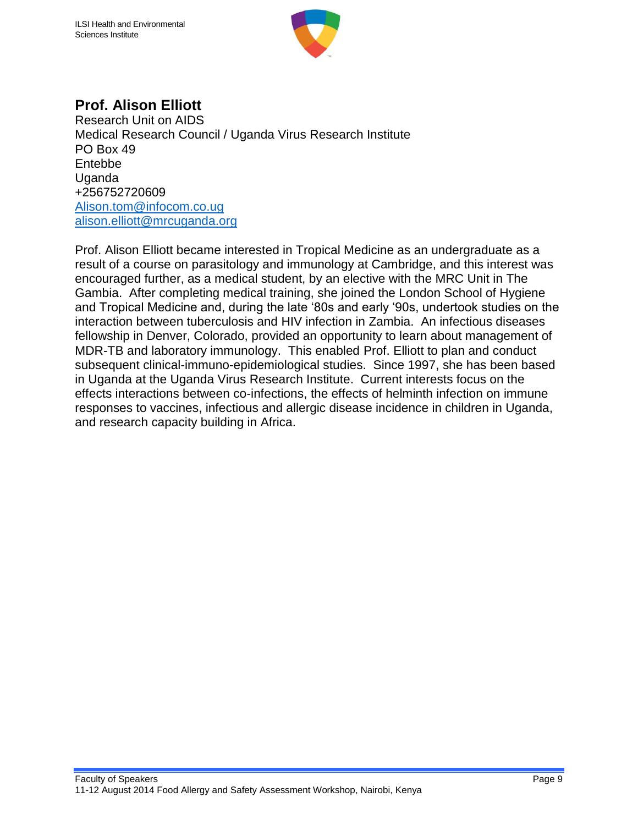

# **Prof. Alison Elliott**

Research Unit on AIDS Medical Research Council / Uganda Virus Research Institute PO Box 49 Entebbe Uganda +256752720609 [Alison.tom@infocom.co.ug](mailto:Alison.tom@infocom.co.ug) [alison.elliott@mrcuganda.org](mailto:alison.elliott@mrcuganda.org)

Prof. Alison Elliott became interested in Tropical Medicine as an undergraduate as a result of a course on parasitology and immunology at Cambridge, and this interest was encouraged further, as a medical student, by an elective with the MRC Unit in The Gambia. After completing medical training, she joined the London School of Hygiene and Tropical Medicine and, during the late '80s and early '90s, undertook studies on the interaction between tuberculosis and HIV infection in Zambia. An infectious diseases fellowship in Denver, Colorado, provided an opportunity to learn about management of MDR-TB and laboratory immunology. This enabled Prof. Elliott to plan and conduct subsequent clinical-immuno-epidemiological studies. Since 1997, she has been based in Uganda at the Uganda Virus Research Institute. Current interests focus on the effects interactions between co-infections, the effects of helminth infection on immune responses to vaccines, infectious and allergic disease incidence in children in Uganda, and research capacity building in Africa.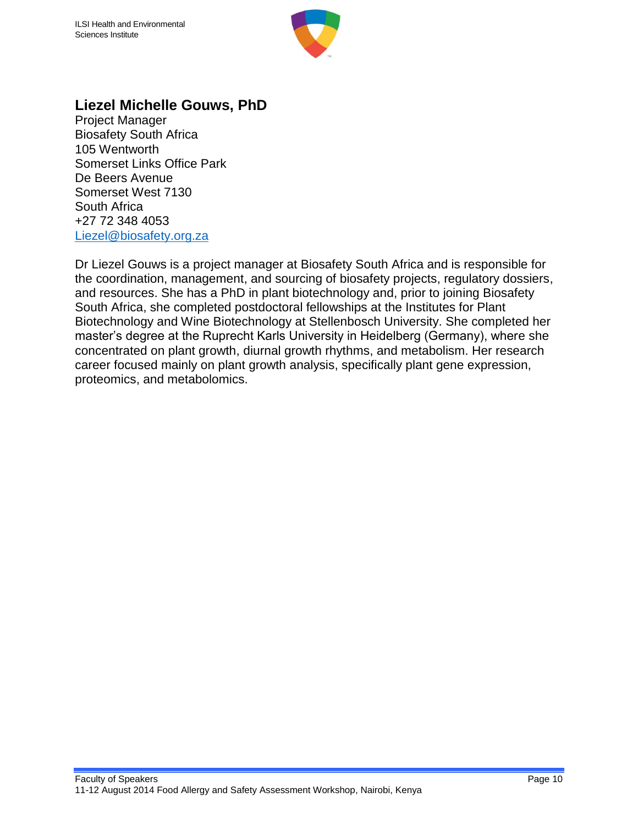

#### **Liezel Michelle Gouws, PhD**

Project Manager Biosafety South Africa 105 Wentworth Somerset Links Office Park De Beers Avenue Somerset West 7130 South Africa +27 72 348 4053 [Liezel@biosafety.org.za](mailto:Liezel@biosafety.org.za)

Dr Liezel Gouws is a project manager at Biosafety South Africa and is responsible for the coordination, management, and sourcing of biosafety projects, regulatory dossiers, and resources. She has a PhD in plant biotechnology and, prior to joining Biosafety South Africa, she completed postdoctoral fellowships at the Institutes for Plant Biotechnology and Wine Biotechnology at Stellenbosch University. She completed her master's degree at the Ruprecht Karls University in Heidelberg (Germany), where she concentrated on plant growth, diurnal growth rhythms, and metabolism. Her research career focused mainly on plant growth analysis, specifically plant gene expression, proteomics, and metabolomics.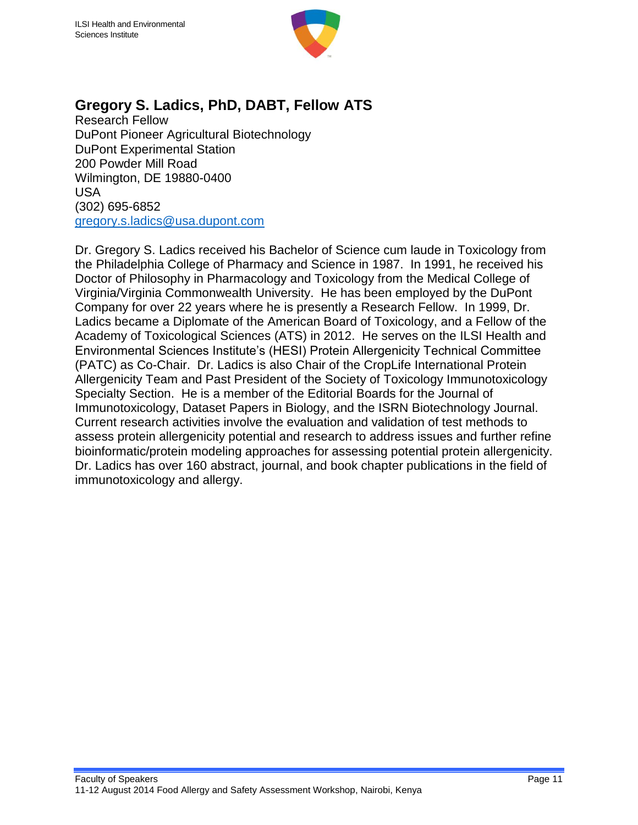

## **Gregory S. Ladics, PhD, DABT, Fellow ATS**

Research Fellow DuPont Pioneer Agricultural Biotechnology DuPont Experimental Station 200 Powder Mill Road Wilmington, DE 19880-0400 USA (302) 695-6852 [gregory.s.ladics@usa.dupont.com](mailto:gregory.s.ladics@usa.dupont.com)

Dr. Gregory S. Ladics received his Bachelor of Science cum laude in Toxicology from the Philadelphia College of Pharmacy and Science in 1987. In 1991, he received his Doctor of Philosophy in Pharmacology and Toxicology from the Medical College of Virginia/Virginia Commonwealth University. He has been employed by the DuPont Company for over 22 years where he is presently a Research Fellow. In 1999, Dr. Ladics became a Diplomate of the American Board of Toxicology, and a Fellow of the Academy of Toxicological Sciences (ATS) in 2012. He serves on the ILSI Health and Environmental Sciences Institute's (HESI) Protein Allergenicity Technical Committee (PATC) as Co-Chair. Dr. Ladics is also Chair of the CropLife International Protein Allergenicity Team and Past President of the Society of Toxicology Immunotoxicology Specialty Section. He is a member of the Editorial Boards for the Journal of Immunotoxicology, Dataset Papers in Biology, and the ISRN Biotechnology Journal. Current research activities involve the evaluation and validation of test methods to assess protein allergenicity potential and research to address issues and further refine bioinformatic/protein modeling approaches for assessing potential protein allergenicity. Dr. Ladics has over 160 abstract, journal, and book chapter publications in the field of immunotoxicology and allergy.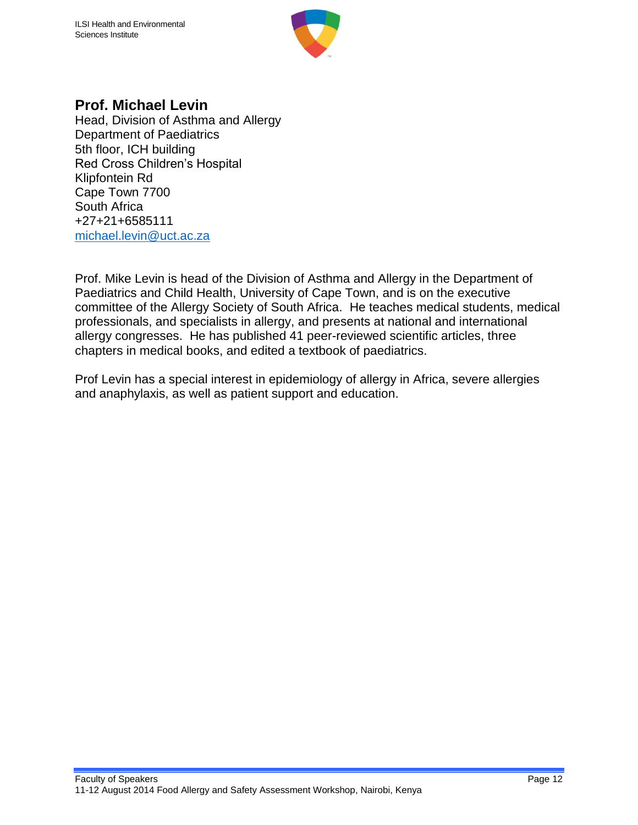

#### **Prof. Michael Levin**

Head, Division of Asthma and Allergy Department of Paediatrics 5th floor, ICH building Red Cross Children's Hospital Klipfontein Rd Cape Town 7700 South Africa +27+21+6585111 [michael.levin@uct.ac.za](mailto:michael.levin@uct.ac.za)

Prof. Mike Levin is head of the Division of Asthma and Allergy in the Department of Paediatrics and Child Health, University of Cape Town, and is on the executive committee of the Allergy Society of South Africa. He teaches medical students, medical professionals, and specialists in allergy, and presents at national and international allergy congresses. He has published 41 peer-reviewed scientific articles, three chapters in medical books, and edited a textbook of paediatrics.

Prof Levin has a special interest in epidemiology of allergy in Africa, severe allergies and anaphylaxis, as well as patient support and education.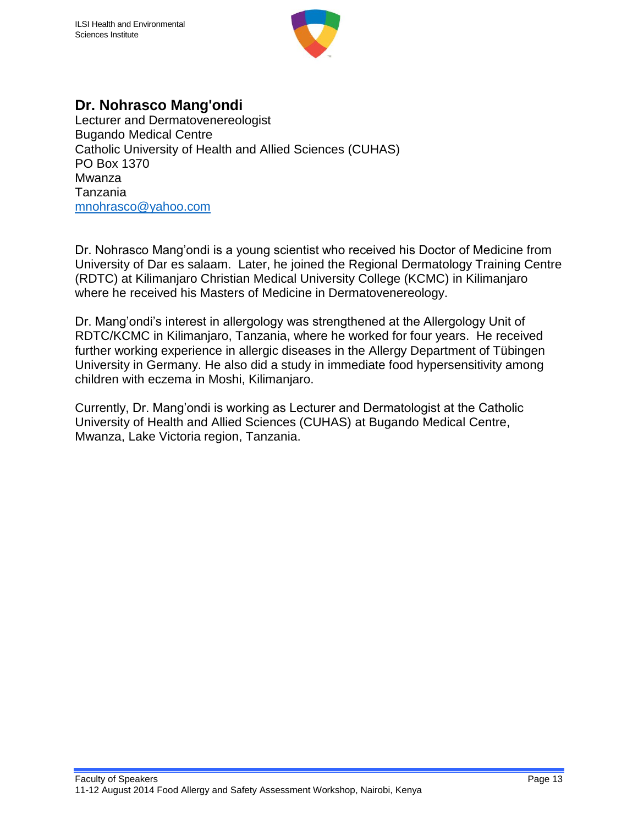

#### **Dr. Nohrasco Mang'ondi**

Lecturer and Dermatovenereologist Bugando Medical Centre Catholic University of Health and Allied Sciences (CUHAS) PO Box 1370 Mwanza Tanzania [mnohrasco@yahoo.com](mailto:mnohrasco@yahoo.com)

Dr. Nohrasco Mang'ondi is a young scientist who received his Doctor of Medicine from University of Dar es salaam. Later, he joined the Regional Dermatology Training Centre (RDTC) at Kilimanjaro Christian Medical University College (KCMC) in Kilimanjaro where he received his Masters of Medicine in Dermatovenereology.

Dr. Mang'ondi's interest in allergology was strengthened at the Allergology Unit of RDTC/KCMC in Kilimanjaro, Tanzania, where he worked for four years. He received further working experience in allergic diseases in the Allergy Department of Tübingen University in Germany. He also did a study in immediate food hypersensitivity among children with eczema in Moshi, Kilimanjaro.

Currently, Dr. Mang'ondi is working as Lecturer and Dermatologist at the Catholic University of Health and Allied Sciences (CUHAS) at Bugando Medical Centre, Mwanza, Lake Victoria region, Tanzania.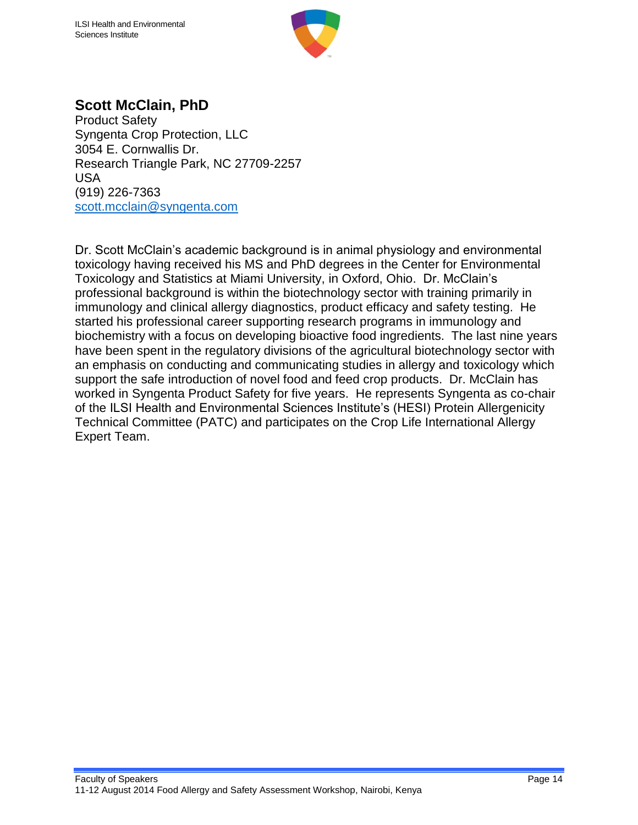

#### **Scott McClain, PhD**

Product Safety Syngenta Crop Protection, LLC 3054 E. Cornwallis Dr. Research Triangle Park, NC 27709-2257 USA (919) 226-7363 [scott.mcclain@syngenta.com](mailto:scott.mcclain@syngenta.com)

Dr. Scott McClain's academic background is in animal physiology and environmental toxicology having received his MS and PhD degrees in the Center for Environmental Toxicology and Statistics at Miami University, in Oxford, Ohio. Dr. McClain's professional background is within the biotechnology sector with training primarily in immunology and clinical allergy diagnostics, product efficacy and safety testing. He started his professional career supporting research programs in immunology and biochemistry with a focus on developing bioactive food ingredients. The last nine years have been spent in the regulatory divisions of the agricultural biotechnology sector with an emphasis on conducting and communicating studies in allergy and toxicology which support the safe introduction of novel food and feed crop products. Dr. McClain has worked in Syngenta Product Safety for five years. He represents Syngenta as co-chair of the ILSI Health and Environmental Sciences Institute's (HESI) Protein Allergenicity Technical Committee (PATC) and participates on the Crop Life International Allergy Expert Team.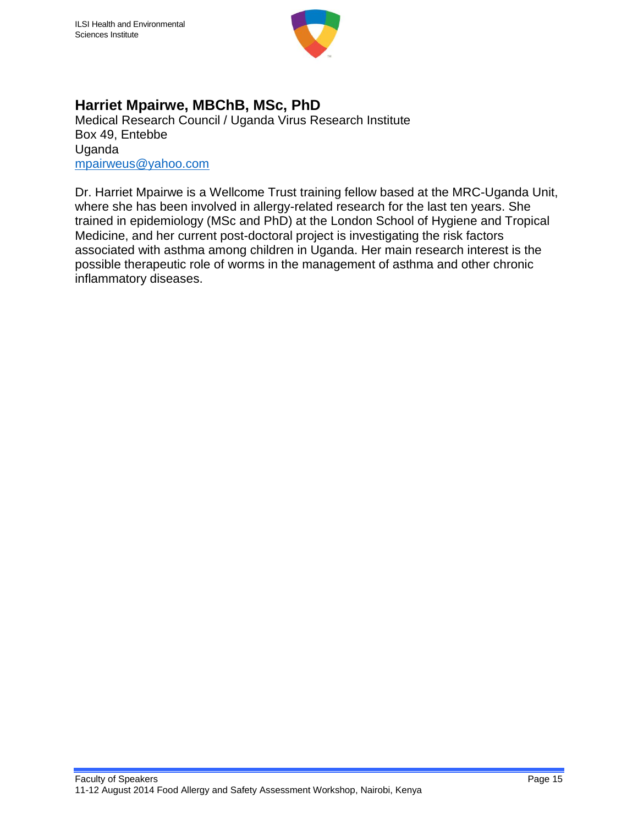

#### **Harriet Mpairwe, MBChB, MSc, PhD**

Medical Research Council / Uganda Virus Research Institute Box 49, Entebbe Uganda [mpairweus@yahoo.com](mailto:mpairweus@yahoo.com)

Dr. Harriet Mpairwe is a Wellcome Trust training fellow based at the MRC-Uganda Unit, where she has been involved in allergy-related research for the last ten years. She trained in epidemiology (MSc and PhD) at the London School of Hygiene and Tropical Medicine, and her current post-doctoral project is investigating the risk factors associated with asthma among children in Uganda. Her main research interest is the possible therapeutic role of worms in the management of asthma and other chronic inflammatory diseases.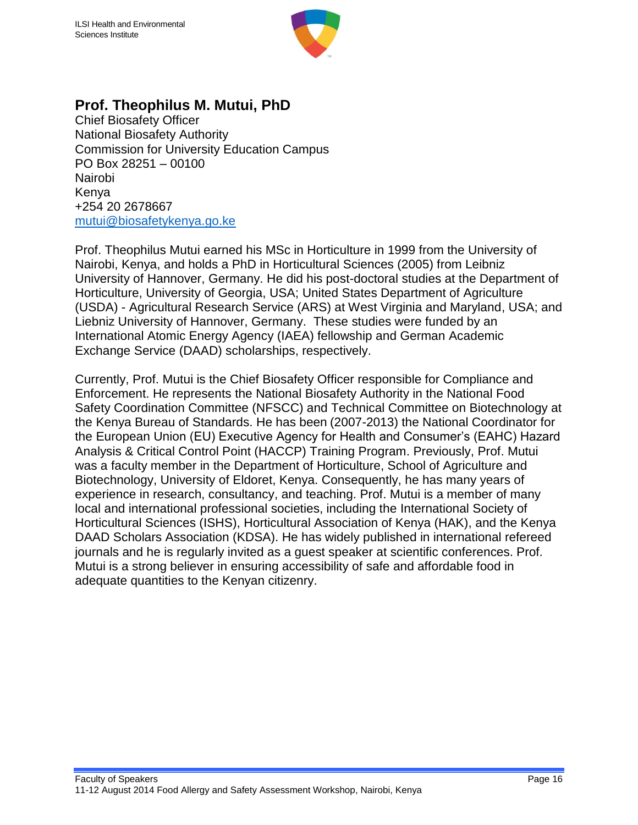

#### **Prof. Theophilus M. Mutui, PhD**

Chief Biosafety Officer National Biosafety Authority Commission for University Education Campus PO Box 28251 – 00100 Nairobi Kenya +254 20 2678667 [mutui@biosafetykenya.go.ke](mailto:mutui@biosafetykenya.go.ke)

Prof. Theophilus Mutui earned his MSc in Horticulture in 1999 from the University of Nairobi, Kenya, and holds a PhD in Horticultural Sciences (2005) from Leibniz University of Hannover, Germany. He did his post-doctoral studies at the Department of Horticulture, University of Georgia, USA; United States Department of Agriculture (USDA) - Agricultural Research Service (ARS) at West Virginia and Maryland, USA; and Liebniz University of Hannover, Germany. These studies were funded by an International Atomic Energy Agency (IAEA) fellowship and German Academic Exchange Service (DAAD) scholarships, respectively.

Currently, Prof. Mutui is the Chief Biosafety Officer responsible for Compliance and Enforcement. He represents the National Biosafety Authority in the National Food Safety Coordination Committee (NFSCC) and Technical Committee on Biotechnology at the Kenya Bureau of Standards. He has been (2007-2013) the National Coordinator for the European Union (EU) Executive Agency for Health and Consumer's (EAHC) Hazard Analysis & Critical Control Point (HACCP) Training Program. Previously, Prof. Mutui was a faculty member in the Department of Horticulture, School of Agriculture and Biotechnology, University of Eldoret, Kenya. Consequently, he has many years of experience in research, consultancy, and teaching. Prof. Mutui is a member of many local and international professional societies, including the International Society of Horticultural Sciences (ISHS), Horticultural Association of Kenya (HAK), and the Kenya DAAD Scholars Association (KDSA). He has widely published in international refereed journals and he is regularly invited as a guest speaker at scientific conferences. Prof. Mutui is a strong believer in ensuring accessibility of safe and affordable food in adequate quantities to the Kenyan citizenry.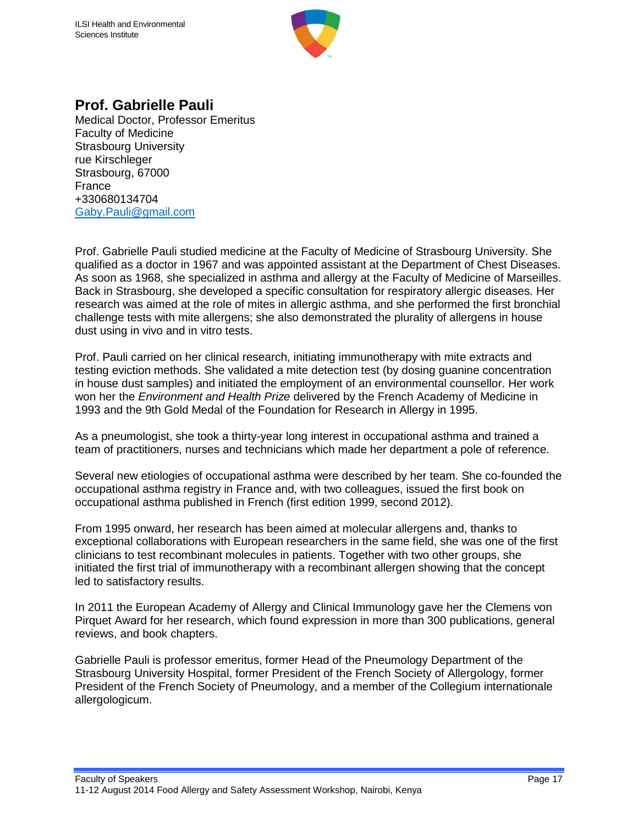

#### **Prof. Gabrielle Pauli**

Medical Doctor, Professor Emeritus Faculty of Medicine Strasbourg University rue Kirschleger Strasbourg, 67000 France +330680134704 [Gaby.Pauli@gmail.com](mailto:Gaby.Pauli@gmail.com)

Prof. Gabrielle Pauli studied medicine at the Faculty of Medicine of Strasbourg University. She qualified as a doctor in 1967 and was appointed assistant at the Department of Chest Diseases. As soon as 1968, she specialized in asthma and allergy at the Faculty of Medicine of Marseilles. Back in Strasbourg, she developed a specific consultation for respiratory allergic diseases. Her research was aimed at the role of mites in allergic asthma, and she performed the first bronchial challenge tests with mite allergens; she also demonstrated the plurality of allergens in house dust using in vivo and in vitro tests.

Prof. Pauli carried on her clinical research, initiating immunotherapy with mite extracts and testing eviction methods. She validated a mite detection test (by dosing guanine concentration in house dust samples) and initiated the employment of an environmental counsellor. Her work won her the *Environment and Health Prize* delivered by the French Academy of Medicine in 1993 and the 9th Gold Medal of the Foundation for Research in Allergy in 1995.

As a pneumologist, she took a thirty-year long interest in occupational asthma and trained a team of practitioners, nurses and technicians which made her department a pole of reference.

Several new etiologies of occupational asthma were described by her team. She co-founded the occupational asthma registry in France and, with two colleagues, issued the first book on occupational asthma published in French (first edition 1999, second 2012).

From 1995 onward, her research has been aimed at molecular allergens and, thanks to exceptional collaborations with European researchers in the same field, she was one of the first clinicians to test recombinant molecules in patients. Together with two other groups, she initiated the first trial of immunotherapy with a recombinant allergen showing that the concept led to satisfactory results.

In 2011 the European Academy of Allergy and Clinical Immunology gave her the Clemens von Pirquet Award for her research, which found expression in more than 300 publications, general reviews, and book chapters.

Gabrielle Pauli is professor emeritus, former Head of the Pneumology Department of the Strasbourg University Hospital, former President of the French Society of Allergology, former President of the French Society of Pneumology, and a member of the Collegium internationale allergologicum.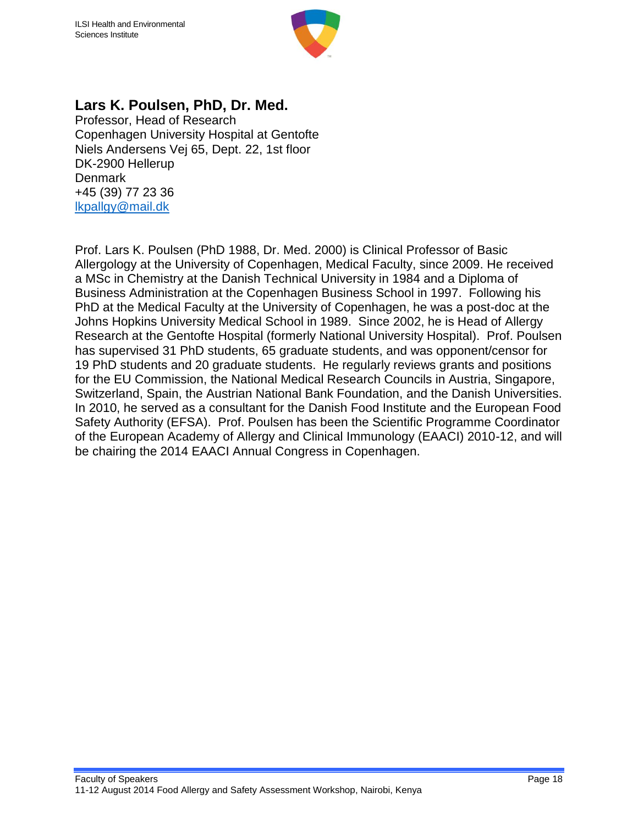

#### **Lars K. Poulsen, PhD, Dr. Med.**

Professor, Head of Research Copenhagen University Hospital at Gentofte Niels Andersens Vej 65, Dept. 22, 1st floor DK-2900 Hellerup **Denmark** +45 (39) 77 23 36 [lkpallgy@mail.dk](mailto:lkpallgy@mail.dk)

Prof. Lars K. Poulsen (PhD 1988, Dr. Med. 2000) is Clinical Professor of Basic Allergology at the University of Copenhagen, Medical Faculty, since 2009. He received a MSc in Chemistry at the Danish Technical University in 1984 and a Diploma of Business Administration at the Copenhagen Business School in 1997. Following his PhD at the Medical Faculty at the University of Copenhagen, he was a post-doc at the Johns Hopkins University Medical School in 1989. Since 2002, he is Head of Allergy Research at the Gentofte Hospital (formerly National University Hospital). Prof. Poulsen has supervised 31 PhD students, 65 graduate students, and was opponent/censor for 19 PhD students and 20 graduate students. He regularly reviews grants and positions for the EU Commission, the National Medical Research Councils in Austria, Singapore, Switzerland, Spain, the Austrian National Bank Foundation, and the Danish Universities. In 2010, he served as a consultant for the Danish Food Institute and the European Food Safety Authority (EFSA). Prof. Poulsen has been the Scientific Programme Coordinator of the European Academy of Allergy and Clinical Immunology (EAACI) 2010-12, and will be chairing the 2014 EAACI Annual Congress in Copenhagen.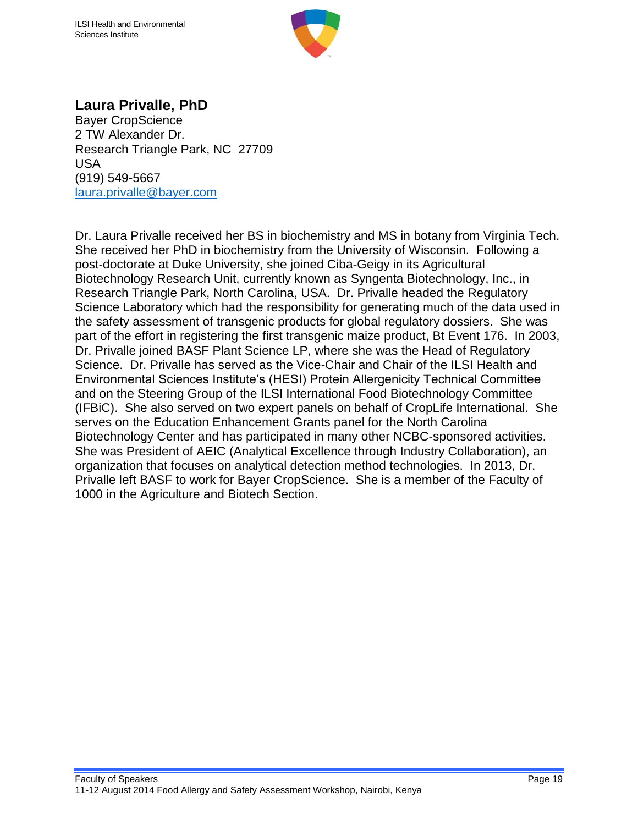

#### **Laura Privalle, PhD**

Bayer CropScience 2 TW Alexander Dr. Research Triangle Park, NC 27709 USA (919) 549-5667 [laura.privalle@bayer.com](mailto:laura.privalle@bayer.com)

Dr. Laura Privalle received her BS in biochemistry and MS in botany from Virginia Tech. She received her PhD in biochemistry from the University of Wisconsin. Following a post-doctorate at Duke University, she joined Ciba-Geigy in its Agricultural Biotechnology Research Unit, currently known as Syngenta Biotechnology, Inc., in Research Triangle Park, North Carolina, USA. Dr. Privalle headed the Regulatory Science Laboratory which had the responsibility for generating much of the data used in the safety assessment of transgenic products for global regulatory dossiers. She was part of the effort in registering the first transgenic maize product, Bt Event 176. In 2003, Dr. Privalle joined BASF Plant Science LP, where she was the Head of Regulatory Science. Dr. Privalle has served as the Vice-Chair and Chair of the ILSI Health and Environmental Sciences Institute's (HESI) Protein Allergenicity Technical Committee and on the Steering Group of the ILSI International Food Biotechnology Committee (IFBiC). She also served on two expert panels on behalf of CropLife International. She serves on the Education Enhancement Grants panel for the North Carolina Biotechnology Center and has participated in many other NCBC-sponsored activities. She was President of AEIC (Analytical Excellence through Industry Collaboration), an organization that focuses on analytical detection method technologies. In 2013, Dr. Privalle left BASF to work for Bayer CropScience. She is a member of the Faculty of 1000 in the Agriculture and Biotech Section.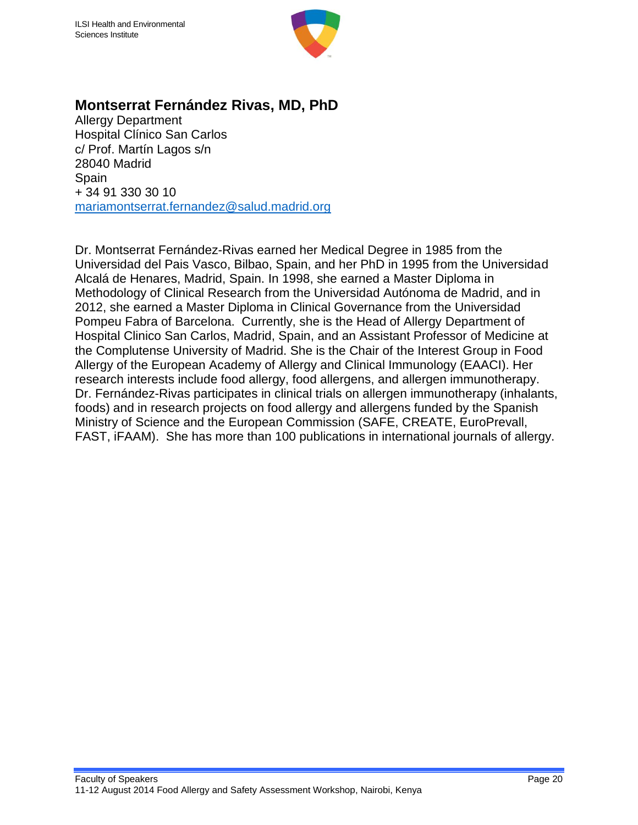

#### **Montserrat Fernández Rivas, MD, PhD**

Allergy Department Hospital Clínico San Carlos c/ Prof. Martín Lagos s/n 28040 Madrid Spain + 34 91 330 30 10 [mariamontserrat.fernandez@salud.madrid.org](mailto:mariamontserrat.fernandez@salud.madrid.org)

Dr. Montserrat Fernández-Rivas earned her Medical Degree in 1985 from the Universidad del Pais Vasco, Bilbao, Spain, and her PhD in 1995 from the Universidad Alcalá de Henares, Madrid, Spain. In 1998, she earned a Master Diploma in Methodology of Clinical Research from the Universidad Autónoma de Madrid, and in 2012, she earned a Master Diploma in Clinical Governance from the Universidad Pompeu Fabra of Barcelona. Currently, she is the Head of Allergy Department of Hospital Clinico San Carlos, Madrid, Spain, and an Assistant Professor of Medicine at the Complutense University of Madrid. She is the Chair of the Interest Group in Food Allergy of the European Academy of Allergy and Clinical Immunology (EAACI). Her research interests include food allergy, food allergens, and allergen immunotherapy. Dr. Fernández-Rivas participates in clinical trials on allergen immunotherapy (inhalants, foods) and in research projects on food allergy and allergens funded by the Spanish Ministry of Science and the European Commission (SAFE, CREATE, EuroPrevall, FAST, iFAAM). She has more than 100 publications in international journals of allergy.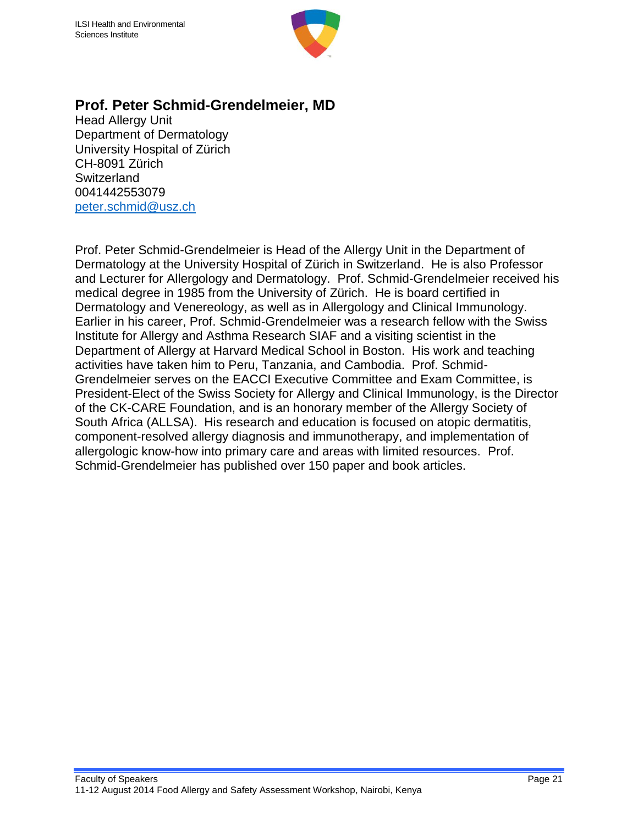

#### **Prof. Peter Schmid-Grendelmeier, MD**

Head Allergy Unit Department of Dermatology University Hospital of Zürich CH-8091 Zürich **Switzerland** 0041442553079 [peter.schmid@usz.ch](mailto:peter.schmid@usz.ch)

Prof. Peter Schmid-Grendelmeier is Head of the Allergy Unit in the Department of Dermatology at the University Hospital of Zürich in Switzerland. He is also Professor and Lecturer for Allergology and Dermatology. Prof. Schmid-Grendelmeier received his medical degree in 1985 from the University of Zürich. He is board certified in Dermatology and Venereology, as well as in Allergology and Clinical Immunology. Earlier in his career, Prof. Schmid-Grendelmeier was a research fellow with the Swiss Institute for Allergy and Asthma Research SIAF and a visiting scientist in the Department of Allergy at Harvard Medical School in Boston. His work and teaching activities have taken him to Peru, Tanzania, and Cambodia. Prof. Schmid-Grendelmeier serves on the EACCI Executive Committee and Exam Committee, is President-Elect of the Swiss Society for Allergy and Clinical Immunology, is the Director of the CK-CARE Foundation, and is an honorary member of the Allergy Society of South Africa (ALLSA). His research and education is focused on atopic dermatitis, component-resolved allergy diagnosis and immunotherapy, and implementation of allergologic know-how into primary care and areas with limited resources. Prof. Schmid-Grendelmeier has published over 150 paper and book articles.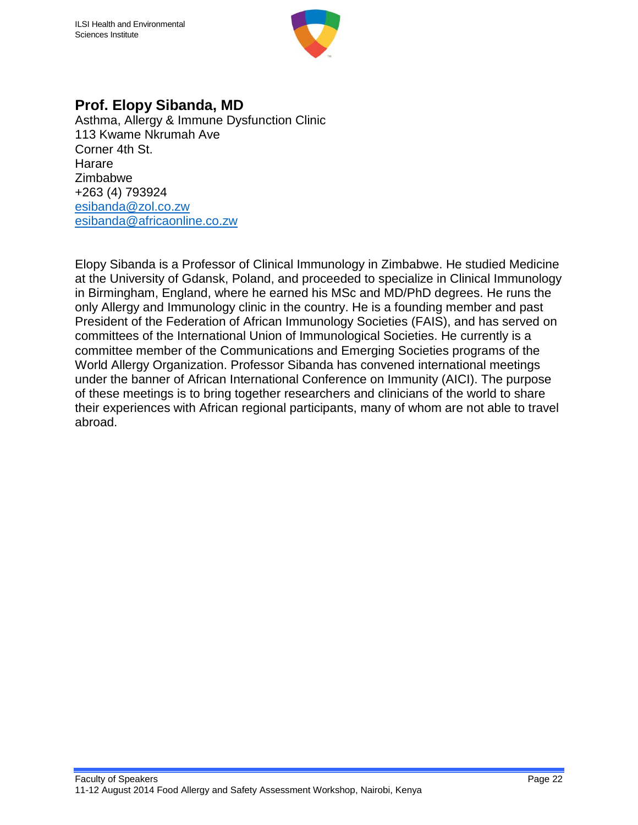

#### **Prof. Elopy Sibanda, MD**

Asthma, Allergy & Immune Dysfunction Clinic 113 Kwame Nkrumah Ave Corner 4th St. Harare Zimbabwe +263 (4) 793924 [esibanda@zol.co.zw](mailto:esibanda@zol.co.zw) [esibanda@africaonline.co.zw](mailto:esibanda@africaonline.co.zw)

Elopy Sibanda is a Professor of Clinical Immunology in Zimbabwe. He studied Medicine at the University of Gdansk, Poland, and proceeded to specialize in Clinical Immunology in Birmingham, England, where he earned his MSc and MD/PhD degrees. He runs the only Allergy and Immunology clinic in the country. He is a founding member and past President of the Federation of African Immunology Societies (FAIS), and has served on committees of the International Union of Immunological Societies. He currently is a committee member of the Communications and Emerging Societies programs of the World Allergy Organization. Professor Sibanda has convened international meetings under the banner of African International Conference on Immunity (AICI). The purpose of these meetings is to bring together researchers and clinicians of the world to share their experiences with African regional participants, many of whom are not able to travel abroad.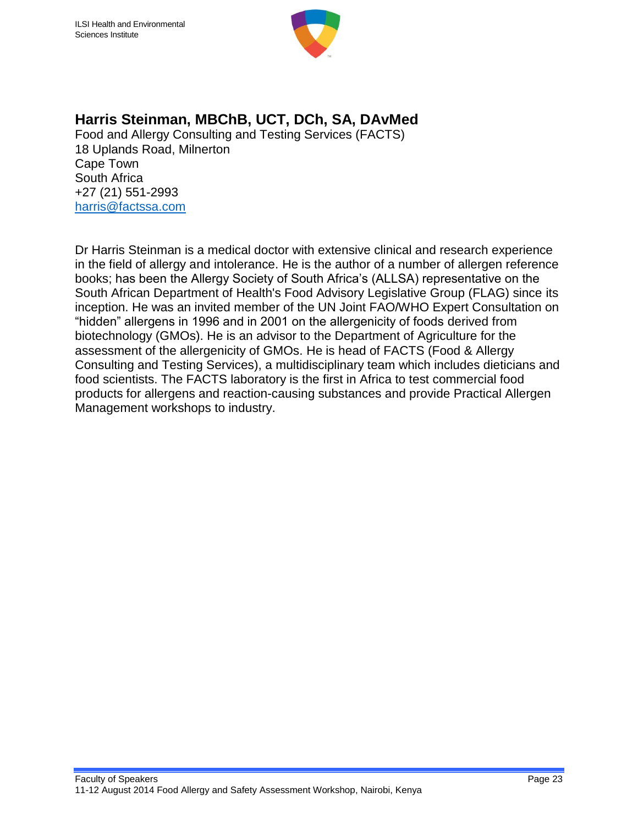

## **Harris Steinman, MBChB, UCT, DCh, SA, DAvMed**

Food and Allergy Consulting and Testing Services (FACTS) 18 Uplands Road, Milnerton Cape Town South Africa +27 (21) 551-2993 [harris@factssa.com](mailto:harris@factssa.com)

Dr Harris Steinman is a medical doctor with extensive clinical and research experience in the field of allergy and intolerance. He is the author of a number of allergen reference books; has been the Allergy Society of South Africa's (ALLSA) representative on the South African Department of Health's Food Advisory Legislative Group (FLAG) since its inception. He was an invited member of the UN Joint FAO/WHO Expert Consultation on "hidden" allergens in 1996 and in 2001 on the allergenicity of foods derived from biotechnology (GMOs). He is an advisor to the Department of Agriculture for the assessment of the allergenicity of GMOs. He is head of FACTS (Food & Allergy Consulting and Testing Services), a multidisciplinary team which includes dieticians and food scientists. The FACTS laboratory is the first in Africa to test commercial food products for allergens and reaction-causing substances and provide Practical Allergen Management workshops to industry.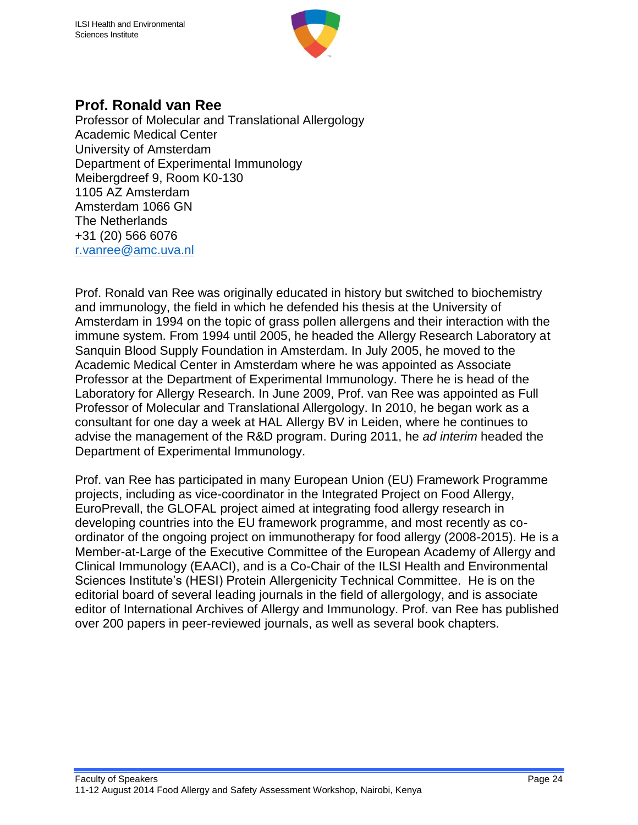

#### **Prof. Ronald van Ree**

Professor of Molecular and Translational Allergology Academic Medical Center University of Amsterdam Department of Experimental Immunology Meibergdreef 9, Room K0-130 1105 AZ Amsterdam Amsterdam 1066 GN The Netherlands +31 (20) 566 6076 [r.vanree@amc.uva.nl](mailto:r.vanree@amc.uva.nl)

Prof. Ronald van Ree was originally educated in history but switched to biochemistry and immunology, the field in which he defended his thesis at the University of Amsterdam in 1994 on the topic of grass pollen allergens and their interaction with the immune system. From 1994 until 2005, he headed the Allergy Research Laboratory at Sanquin Blood Supply Foundation in Amsterdam. In July 2005, he moved to the Academic Medical Center in Amsterdam where he was appointed as Associate Professor at the Department of Experimental Immunology. There he is head of the Laboratory for Allergy Research. In June 2009, Prof. van Ree was appointed as Full Professor of Molecular and Translational Allergology. In 2010, he began work as a consultant for one day a week at HAL Allergy BV in Leiden, where he continues to advise the management of the R&D program. During 2011, he *ad interim* headed the Department of Experimental Immunology.

Prof. van Ree has participated in many European Union (EU) Framework Programme projects, including as vice-coordinator in the Integrated Project on Food Allergy, EuroPrevall, the GLOFAL project aimed at integrating food allergy research in developing countries into the EU framework programme, and most recently as coordinator of the ongoing project on immunotherapy for food allergy (2008-2015). He is a Member-at-Large of the Executive Committee of the European Academy of Allergy and Clinical Immunology (EAACI), and is a Co-Chair of the ILSI Health and Environmental Sciences Institute's (HESI) Protein Allergenicity Technical Committee. He is on the editorial board of several leading journals in the field of allergology, and is associate editor of International Archives of Allergy and Immunology. Prof. van Ree has published over 200 papers in peer-reviewed journals, as well as several book chapters.